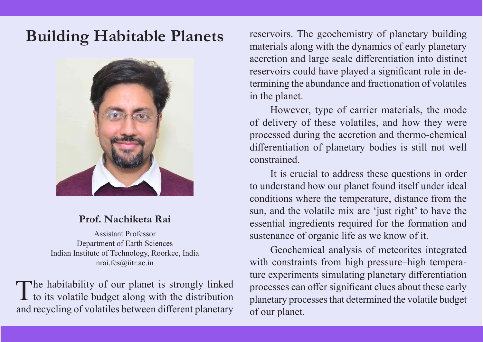

## **Prof. Nachiketa Rai**

Assistant Professor Department of Earth Sciences Indian Institute of Technology, Roorkee, India nrai.fes@iitr.ac.in

The habitability of our planet is strongly linked<br>to its volatile budget along with the distribution and recycling of volatiles between different planetary

**Building Habitable Planets** reservoirs. The geochemistry of planetary building materials along with the dynamics of early planetary accretion and large scale differentiation into distinct reservoirs could have played a significant role in determining the abundance and fractionation of volatiles in the planet.

> However, type of carrier materials, the mode of delivery of these volatiles, and how they were processed during the accretion and thermo-chemical differentiation of planetary bodies is still not well constrained.

> It is crucial to address these questions in order to understand how our planet found itself under ideal conditions where the temperature, distance from the sun, and the volatile mix are 'just right' to have the essential ingredients required for the formation and sustenance of organic life as we know of it.

> Geochemical analysis of meteorites integrated with constraints from high pressure–high temperature experiments simulating planetary differentiation processes can offer significant clues about these early planetary processes that determined the volatile budget of our planet.